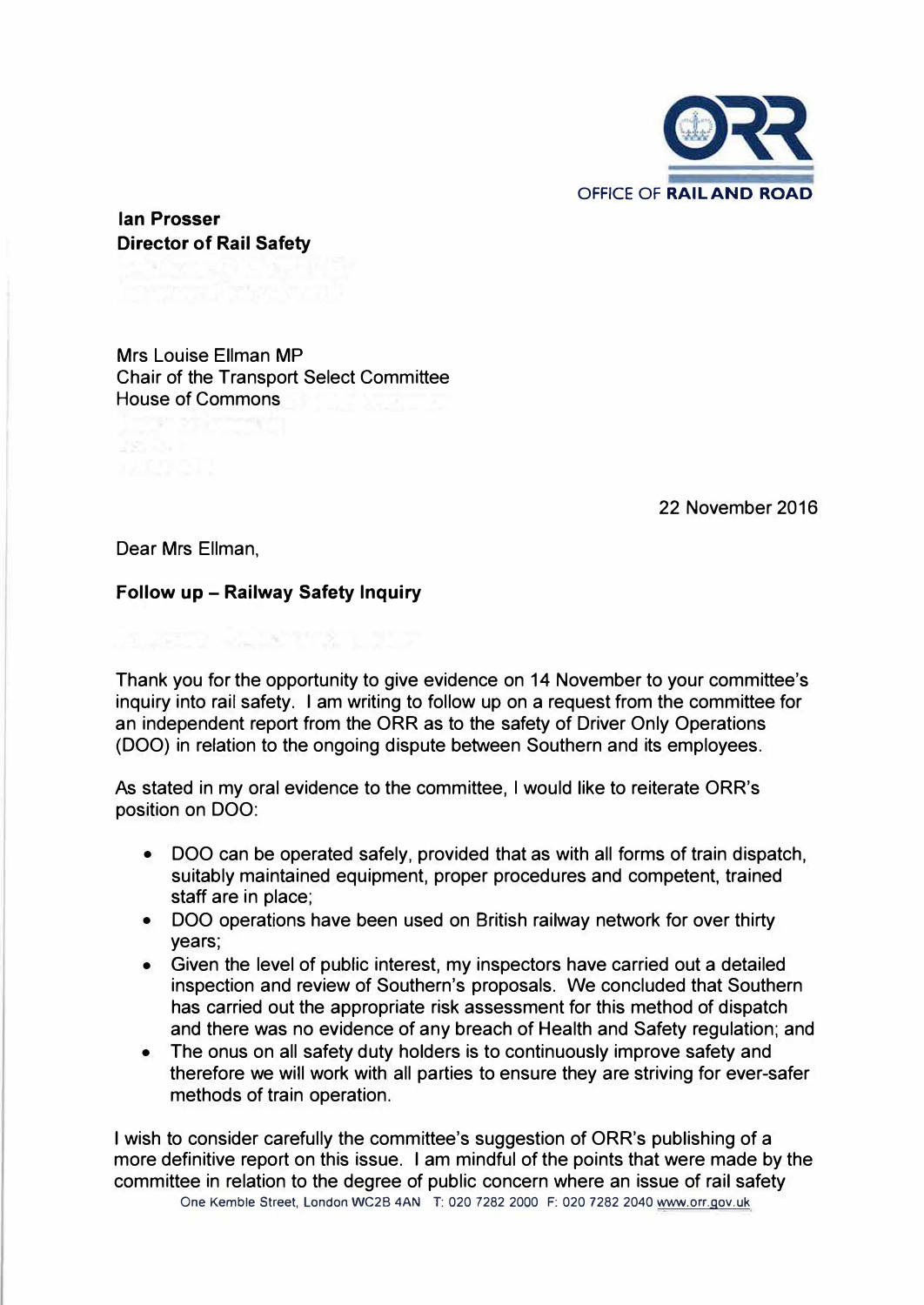

**Ian Prosser Director of Rail Safety** 

Mrs Louise Ellman MP Chair of the Transport Select Committee House of Commons

22 November 2016

Dear Mrs Ellman,

## **Follow up - Railway Safety Inquiry**

1 M. RA

Thank you for the opportunity to give evidence on 14 November to your committee's inquiry into rail safety. I am writing to follow up on a request from the committee for an independent report from the ORR as to the safety of Driver Only Operations (OOO) in relation to the ongoing dispute between Southern and its employees.

As stated in my oral evidence to the committee, I would like to reiterate ORR's position on OOO:

- OOO can be operated safely, provided that as with all forms of train dispatch, suitably maintained equipment, proper procedures and competent, trained staff are in place;
- DOO operations have been used on British railway network for over thirty years;
- Given the level of public interest, my inspectors have carried out a detailed inspection and review of Southern's proposals. We concluded that Southern has carried out the appropriate risk assessment for this method of dispatch and there was no evidence of any breach of Health and Safety regulation; and
- The onus on all safety duty holders is to continuously improve safety and therefore we will work with all parties to ensure they are striving for ever-safer methods of train operation.

I wish to consider carefully the committee's suggestion of ORR's publishing of a more definitive report on this issue. I am mindful of the points that were made by the committee in relation to the degree of public concern where an issue of rail safety One Kemble Street, London WC28 4AN T: 020 7282 2000 F: 020 7282 2040 www.orr.gov.uk